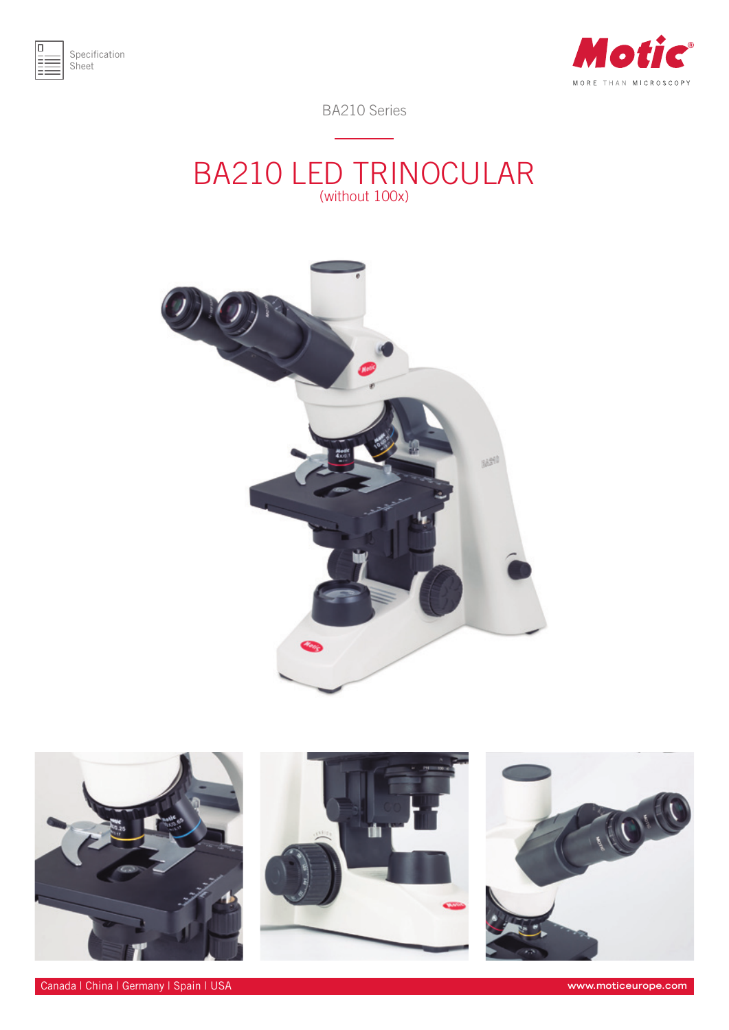

Specification Sheet



BA210 Series

## BA210 LED TRINOCULAR (without 100x)